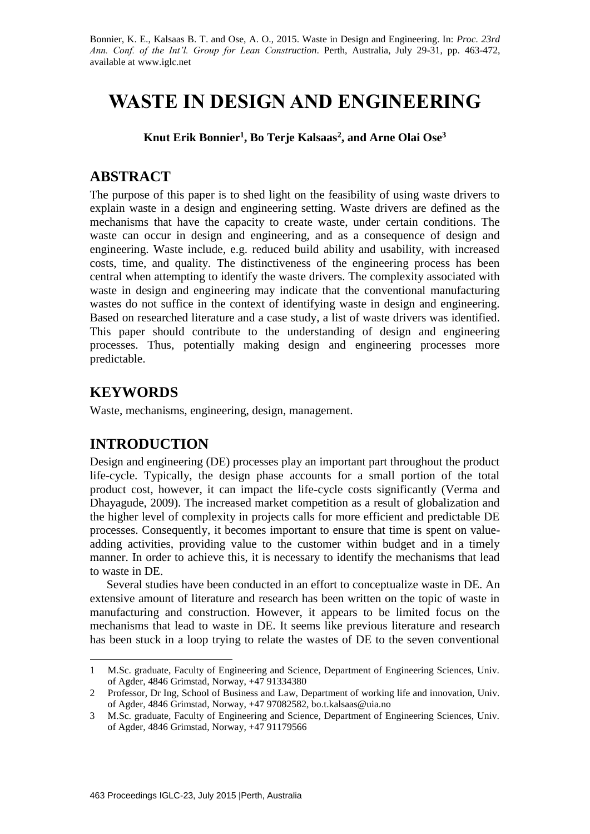Bonnier, K. E., Kalsaas B. T. and Ose, A. O., 2015. Waste in Design and Engineering. In: *Proc. 23rd Ann. Conf. of the Int'l. Group for Lean Construction*. Perth, Australia, July 29-31, pp. 463-472, available at www.iglc.net

# **WASTE IN DESIGN AND ENGINEERING**

**Knut Erik Bonnier<sup>1</sup> , Bo Terje Kalsaas<sup>2</sup> , and Arne Olai Ose<sup>3</sup>**

## **ABSTRACT**

The purpose of this paper is to shed light on the feasibility of using waste drivers to explain waste in a design and engineering setting. Waste drivers are defined as the mechanisms that have the capacity to create waste, under certain conditions. The waste can occur in design and engineering, and as a consequence of design and engineering. Waste include, e.g. reduced build ability and usability, with increased costs, time, and quality. The distinctiveness of the engineering process has been central when attempting to identify the waste drivers. The complexity associated with waste in design and engineering may indicate that the conventional manufacturing wastes do not suffice in the context of identifying waste in design and engineering. Based on researched literature and a case study, a list of waste drivers was identified. This paper should contribute to the understanding of design and engineering processes. Thus, potentially making design and engineering processes more predictable.

# **KEYWORDS**

-

Waste, mechanisms, engineering, design, management.

# **INTRODUCTION**

Design and engineering (DE) processes play an important part throughout the product life-cycle. Typically, the design phase accounts for a small portion of the total product cost, however, it can impact the life-cycle costs significantly (Verma and Dhayagude, 2009). The increased market competition as a result of globalization and the higher level of complexity in projects calls for more efficient and predictable DE processes. Consequently, it becomes important to ensure that time is spent on valueadding activities, providing value to the customer within budget and in a timely manner. In order to achieve this, it is necessary to identify the mechanisms that lead to waste in DE.

Several studies have been conducted in an effort to conceptualize waste in DE. An extensive amount of literature and research has been written on the topic of waste in manufacturing and construction. However, it appears to be limited focus on the mechanisms that lead to waste in DE. It seems like previous literature and research has been stuck in a loop trying to relate the wastes of DE to the seven conventional

<sup>1</sup> M.Sc. graduate, Faculty of Engineering and Science, Department of Engineering Sciences, Univ. of Agder, 4846 Grimstad, Norway, +47 91334380

<sup>2</sup> Professor, Dr Ing, School of Business and Law, Department of working life and innovation, Univ. of Agder, 4846 Grimstad, Norway, +47 97082582, bo.t.kalsaas@uia.no

<sup>3</sup> M.Sc. graduate, Faculty of Engineering and Science, Department of Engineering Sciences, Univ. of Agder, 4846 Grimstad, Norway, +47 91179566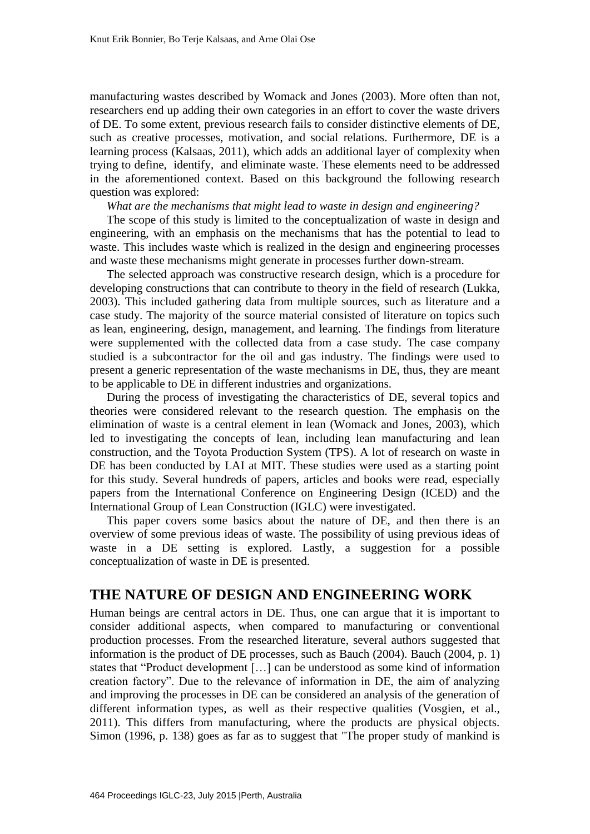manufacturing wastes described by Womack and Jones (2003). More often than not, researchers end up adding their own categories in an effort to cover the waste drivers of DE. To some extent, previous research fails to consider distinctive elements of DE, such as creative processes, motivation, and social relations. Furthermore, DE is a learning process (Kalsaas, 2011), which adds an additional layer of complexity when trying to define, identify, and eliminate waste. These elements need to be addressed in the aforementioned context. Based on this background the following research question was explored:

*What are the mechanisms that might lead to waste in design and engineering?*

The scope of this study is limited to the conceptualization of waste in design and engineering, with an emphasis on the mechanisms that has the potential to lead to waste. This includes waste which is realized in the design and engineering processes and waste these mechanisms might generate in processes further down-stream.

The selected approach was constructive research design, which is a procedure for developing constructions that can contribute to theory in the field of research (Lukka, 2003). This included gathering data from multiple sources, such as literature and a case study. The majority of the source material consisted of literature on topics such as lean, engineering, design, management, and learning. The findings from literature were supplemented with the collected data from a case study. The case company studied is a subcontractor for the oil and gas industry. The findings were used to present a generic representation of the waste mechanisms in DE, thus, they are meant to be applicable to DE in different industries and organizations.

During the process of investigating the characteristics of DE, several topics and theories were considered relevant to the research question. The emphasis on the elimination of waste is a central element in lean (Womack and Jones, 2003), which led to investigating the concepts of lean, including lean manufacturing and lean construction, and the Toyota Production System (TPS). A lot of research on waste in DE has been conducted by LAI at MIT. These studies were used as a starting point for this study. Several hundreds of papers, articles and books were read, especially papers from the International Conference on Engineering Design (ICED) and the International Group of Lean Construction (IGLC) were investigated.

This paper covers some basics about the nature of DE, and then there is an overview of some previous ideas of waste. The possibility of using previous ideas of waste in a DE setting is explored. Lastly, a suggestion for a possible conceptualization of waste in DE is presented.

## **THE NATURE OF DESIGN AND ENGINEERING WORK**

Human beings are central actors in DE. Thus, one can argue that it is important to consider additional aspects, when compared to manufacturing or conventional production processes. From the researched literature, several authors suggested that information is the product of DE processes, such as Bauch (2004). Bauch (2004, p. 1) states that "Product development […] can be understood as some kind of information creation factory". Due to the relevance of information in DE, the aim of analyzing and improving the processes in DE can be considered an analysis of the generation of different information types, as well as their respective qualities (Vosgien, et al., 2011). This differs from manufacturing, where the products are physical objects. Simon (1996, p. 138) goes as far as to suggest that "The proper study of mankind is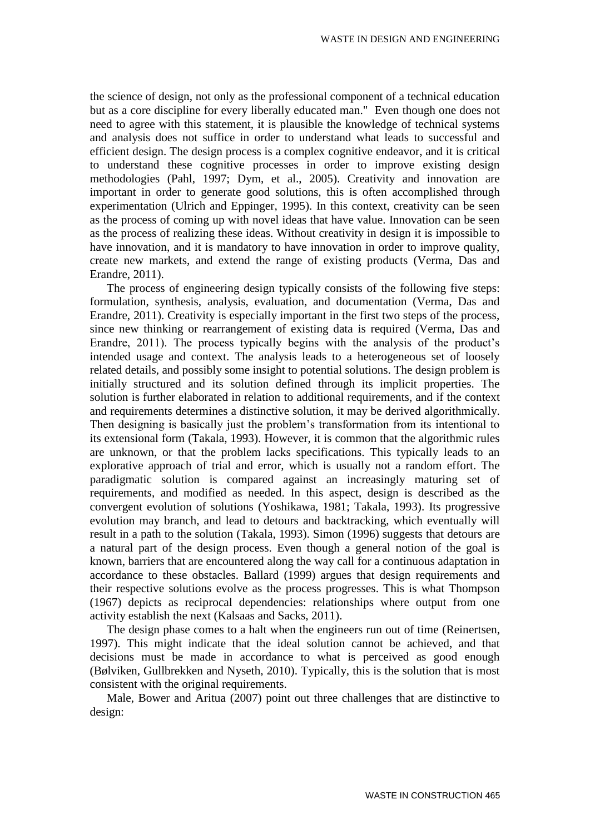the science of design, not only as the professional component of a technical education but as a core discipline for every liberally educated man." Even though one does not need to agree with this statement, it is plausible the knowledge of technical systems and analysis does not suffice in order to understand what leads to successful and efficient design. The design process is a complex cognitive endeavor, and it is critical to understand these cognitive processes in order to improve existing design methodologies (Pahl, 1997; Dym, et al., 2005). Creativity and innovation are important in order to generate good solutions, this is often accomplished through experimentation (Ulrich and Eppinger, 1995). In this context, creativity can be seen as the process of coming up with novel ideas that have value. Innovation can be seen as the process of realizing these ideas. Without creativity in design it is impossible to have innovation, and it is mandatory to have innovation in order to improve quality, create new markets, and extend the range of existing products (Verma, Das and Erandre, 2011).

The process of engineering design typically consists of the following five steps: formulation, synthesis, analysis, evaluation, and documentation (Verma, Das and Erandre, 2011). Creativity is especially important in the first two steps of the process, since new thinking or rearrangement of existing data is required (Verma, Das and Erandre, 2011). The process typically begins with the analysis of the product's intended usage and context. The analysis leads to a heterogeneous set of loosely related details, and possibly some insight to potential solutions. The design problem is initially structured and its solution defined through its implicit properties. The solution is further elaborated in relation to additional requirements, and if the context and requirements determines a distinctive solution, it may be derived algorithmically. Then designing is basically just the problem's transformation from its intentional to its extensional form (Takala, 1993). However, it is common that the algorithmic rules are unknown, or that the problem lacks specifications. This typically leads to an explorative approach of trial and error, which is usually not a random effort. The paradigmatic solution is compared against an increasingly maturing set of requirements, and modified as needed. In this aspect, design is described as the convergent evolution of solutions (Yoshikawa, 1981; Takala, 1993). Its progressive evolution may branch, and lead to detours and backtracking, which eventually will result in a path to the solution (Takala, 1993). Simon (1996) suggests that detours are a natural part of the design process. Even though a general notion of the goal is known, barriers that are encountered along the way call for a continuous adaptation in accordance to these obstacles. Ballard (1999) argues that design requirements and their respective solutions evolve as the process progresses. This is what Thompson (1967) depicts as reciprocal dependencies: relationships where output from one activity establish the next (Kalsaas and Sacks, 2011).

The design phase comes to a halt when the engineers run out of time (Reinertsen, 1997). This might indicate that the ideal solution cannot be achieved, and that decisions must be made in accordance to what is perceived as good enough (Bølviken, Gullbrekken and Nyseth, 2010). Typically, this is the solution that is most consistent with the original requirements.

Male, Bower and Aritua (2007) point out three challenges that are distinctive to design: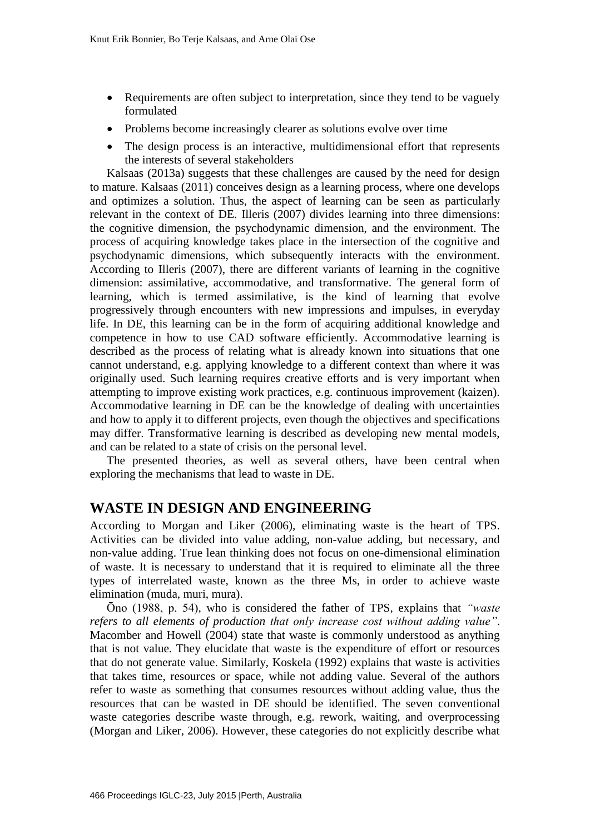- Requirements are often subject to interpretation, since they tend to be vaguely formulated
- Problems become increasingly clearer as solutions evolve over time
- The design process is an interactive, multidimensional effort that represents the interests of several stakeholders

Kalsaas (2013a) suggests that these challenges are caused by the need for design to mature. Kalsaas (2011) conceives design as a learning process, where one develops and optimizes a solution. Thus, the aspect of learning can be seen as particularly relevant in the context of DE. Illeris (2007) divides learning into three dimensions: the cognitive dimension, the psychodynamic dimension, and the environment. The process of acquiring knowledge takes place in the intersection of the cognitive and psychodynamic dimensions, which subsequently interacts with the environment. According to Illeris (2007), there are different variants of learning in the cognitive dimension: assimilative, accommodative, and transformative. The general form of learning, which is termed assimilative, is the kind of learning that evolve progressively through encounters with new impressions and impulses, in everyday life. In DE, this learning can be in the form of acquiring additional knowledge and competence in how to use CAD software efficiently. Accommodative learning is described as the process of relating what is already known into situations that one cannot understand, e.g. applying knowledge to a different context than where it was originally used. Such learning requires creative efforts and is very important when attempting to improve existing work practices, e.g. continuous improvement (kaizen). Accommodative learning in DE can be the knowledge of dealing with uncertainties and how to apply it to different projects, even though the objectives and specifications may differ. Transformative learning is described as developing new mental models, and can be related to a state of crisis on the personal level.

The presented theories, as well as several others, have been central when exploring the mechanisms that lead to waste in DE.

#### **WASTE IN DESIGN AND ENGINEERING**

According to Morgan and Liker (2006), eliminating waste is the heart of TPS. Activities can be divided into value adding, non-value adding, but necessary, and non-value adding. True lean thinking does not focus on one-dimensional elimination of waste. It is necessary to understand that it is required to eliminate all the three types of interrelated waste, known as the three Ms, in order to achieve waste elimination (muda, muri, mura).

Ōno (1988, p. 54), who is considered the father of TPS, explains that *"waste refers to all elements of production that only increase cost without adding value"*. Macomber and Howell (2004) state that waste is commonly understood as anything that is not value. They elucidate that waste is the expenditure of effort or resources that do not generate value. Similarly, Koskela (1992) explains that waste is activities that takes time, resources or space, while not adding value. Several of the authors refer to waste as something that consumes resources without adding value, thus the resources that can be wasted in DE should be identified. The seven conventional waste categories describe waste through, e.g. rework, waiting, and overprocessing (Morgan and Liker, 2006). However, these categories do not explicitly describe what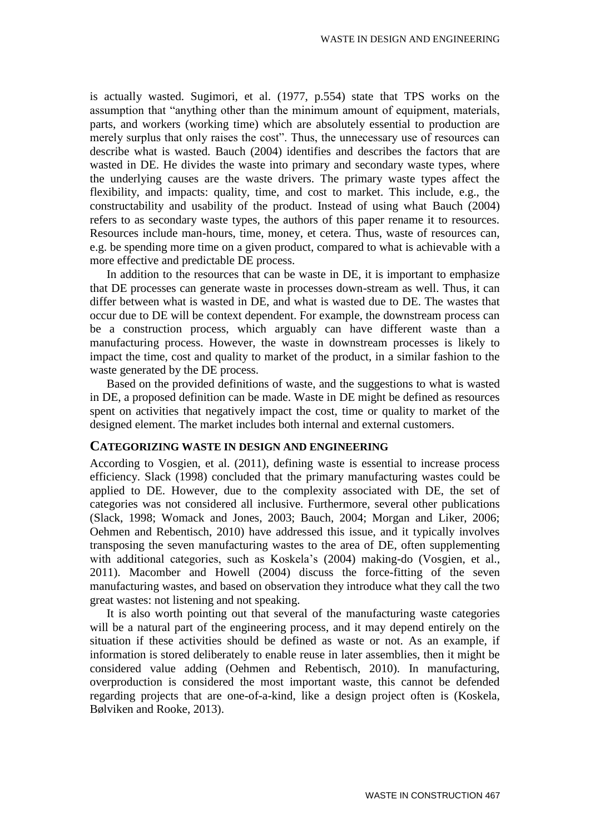is actually wasted. Sugimori, et al. (1977, p.554) state that TPS works on the assumption that "anything other than the minimum amount of equipment, materials, parts, and workers (working time) which are absolutely essential to production are merely surplus that only raises the cost". Thus, the unnecessary use of resources can describe what is wasted. Bauch (2004) identifies and describes the factors that are wasted in DE. He divides the waste into primary and secondary waste types, where the underlying causes are the waste drivers. The primary waste types affect the flexibility, and impacts: quality, time, and cost to market. This include, e.g., the constructability and usability of the product. Instead of using what Bauch (2004) refers to as secondary waste types, the authors of this paper rename it to resources. Resources include man-hours, time, money, et cetera. Thus, waste of resources can, e.g. be spending more time on a given product, compared to what is achievable with a more effective and predictable DE process.

In addition to the resources that can be waste in DE, it is important to emphasize that DE processes can generate waste in processes down-stream as well. Thus, it can differ between what is wasted in DE, and what is wasted due to DE. The wastes that occur due to DE will be context dependent. For example, the downstream process can be a construction process, which arguably can have different waste than a manufacturing process. However, the waste in downstream processes is likely to impact the time, cost and quality to market of the product, in a similar fashion to the waste generated by the DE process.

Based on the provided definitions of waste, and the suggestions to what is wasted in DE, a proposed definition can be made. Waste in DE might be defined as resources spent on activities that negatively impact the cost, time or quality to market of the designed element. The market includes both internal and external customers.

#### **CATEGORIZING WASTE IN DESIGN AND ENGINEERING**

According to Vosgien, et al. (2011), defining waste is essential to increase process efficiency. Slack (1998) concluded that the primary manufacturing wastes could be applied to DE. However, due to the complexity associated with DE, the set of categories was not considered all inclusive. Furthermore, several other publications (Slack, 1998; Womack and Jones, 2003; Bauch, 2004; Morgan and Liker, 2006; Oehmen and Rebentisch, 2010) have addressed this issue, and it typically involves transposing the seven manufacturing wastes to the area of DE, often supplementing with additional categories, such as Koskela's (2004) making-do (Vosgien, et al., 2011). Macomber and Howell (2004) discuss the force-fitting of the seven manufacturing wastes, and based on observation they introduce what they call the two great wastes: not listening and not speaking.

It is also worth pointing out that several of the manufacturing waste categories will be a natural part of the engineering process, and it may depend entirely on the situation if these activities should be defined as waste or not. As an example, if information is stored deliberately to enable reuse in later assemblies, then it might be considered value adding (Oehmen and Rebentisch, 2010). In manufacturing, overproduction is considered the most important waste, this cannot be defended regarding projects that are one-of-a-kind, like a design project often is (Koskela, Bølviken and Rooke, 2013).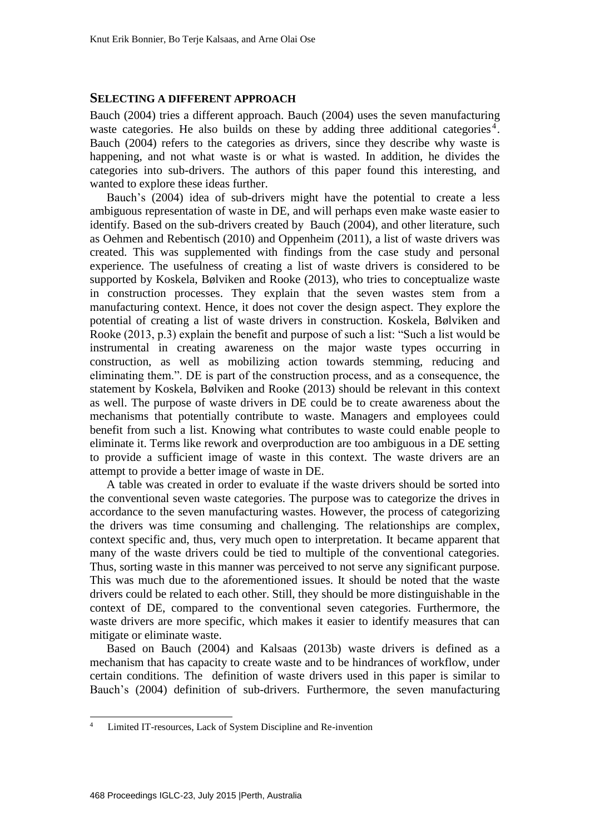#### **SELECTING A DIFFERENT APPROACH**

Bauch (2004) tries a different approach. Bauch (2004) uses the seven manufacturing waste categories. He also builds on these by adding three additional categories<sup>4</sup>. Bauch (2004) refers to the categories as drivers, since they describe why waste is happening, and not what waste is or what is wasted. In addition, he divides the categories into sub-drivers. The authors of this paper found this interesting, and wanted to explore these ideas further.

Bauch's (2004) idea of sub-drivers might have the potential to create a less ambiguous representation of waste in DE, and will perhaps even make waste easier to identify. Based on the sub-drivers created by Bauch (2004), and other literature, such as Oehmen and Rebentisch (2010) and Oppenheim (2011), a list of waste drivers was created. This was supplemented with findings from the case study and personal experience. The usefulness of creating a list of waste drivers is considered to be supported by Koskela, Bølviken and Rooke (2013), who tries to conceptualize waste in construction processes. They explain that the seven wastes stem from a manufacturing context. Hence, it does not cover the design aspect. They explore the potential of creating a list of waste drivers in construction. Koskela, Bølviken and Rooke (2013, p.3) explain the benefit and purpose of such a list: "Such a list would be instrumental in creating awareness on the major waste types occurring in construction, as well as mobilizing action towards stemming, reducing and eliminating them.". DE is part of the construction process, and as a consequence, the statement by Koskela, Bølviken and Rooke (2013) should be relevant in this context as well. The purpose of waste drivers in DE could be to create awareness about the mechanisms that potentially contribute to waste. Managers and employees could benefit from such a list. Knowing what contributes to waste could enable people to eliminate it. Terms like rework and overproduction are too ambiguous in a DE setting to provide a sufficient image of waste in this context. The waste drivers are an attempt to provide a better image of waste in DE.

A table was created in order to evaluate if the waste drivers should be sorted into the conventional seven waste categories. The purpose was to categorize the drives in accordance to the seven manufacturing wastes. However, the process of categorizing the drivers was time consuming and challenging. The relationships are complex, context specific and, thus, very much open to interpretation. It became apparent that many of the waste drivers could be tied to multiple of the conventional categories. Thus, sorting waste in this manner was perceived to not serve any significant purpose. This was much due to the aforementioned issues. It should be noted that the waste drivers could be related to each other. Still, they should be more distinguishable in the context of DE, compared to the conventional seven categories. Furthermore, the waste drivers are more specific, which makes it easier to identify measures that can mitigate or eliminate waste.

Based on Bauch (2004) and Kalsaas (2013b) waste drivers is defined as a mechanism that has capacity to create waste and to be hindrances of workflow, under certain conditions. The definition of waste drivers used in this paper is similar to Bauch's (2004) definition of sub-drivers. Furthermore, the seven manufacturing

 $4$ <sup>4</sup> Limited IT-resources, Lack of System Discipline and Re-invention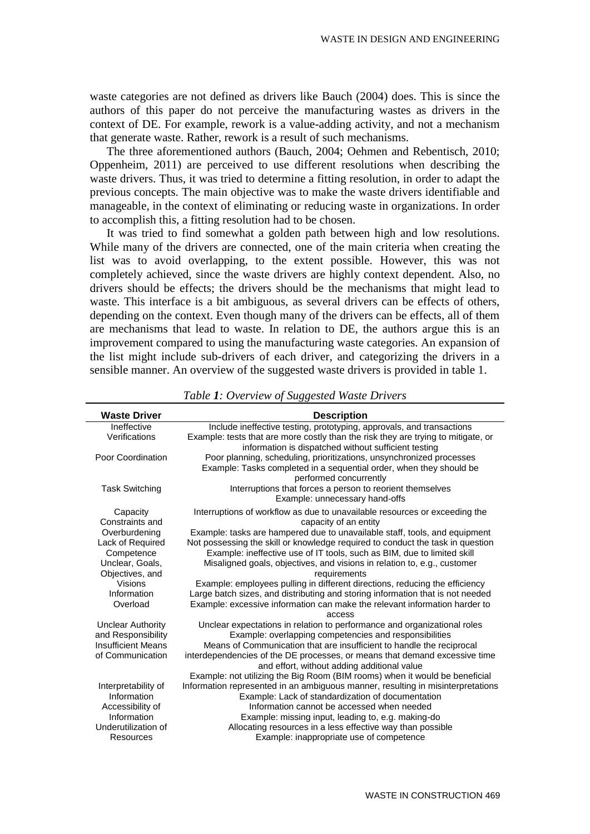waste categories are not defined as drivers like Bauch (2004) does. This is since the authors of this paper do not perceive the manufacturing wastes as drivers in the context of DE. For example, rework is a value-adding activity, and not a mechanism that generate waste. Rather, rework is a result of such mechanisms.

The three aforementioned authors (Bauch, 2004; Oehmen and Rebentisch, 2010; Oppenheim, 2011) are perceived to use different resolutions when describing the waste drivers. Thus, it was tried to determine a fitting resolution, in order to adapt the previous concepts. The main objective was to make the waste drivers identifiable and manageable, in the context of eliminating or reducing waste in organizations. In order to accomplish this, a fitting resolution had to be chosen.

It was tried to find somewhat a golden path between high and low resolutions. While many of the drivers are connected, one of the main criteria when creating the list was to avoid overlapping, to the extent possible. However, this was not completely achieved, since the waste drivers are highly context dependent. Also, no drivers should be effects; the drivers should be the mechanisms that might lead to waste. This interface is a bit ambiguous, as several drivers can be effects of others, depending on the context. Even though many of the drivers can be effects, all of them are mechanisms that lead to waste. In relation to DE, the authors argue this is an improvement compared to using the manufacturing waste categories. An expansion of the list might include sub-drivers of each driver, and categorizing the drivers in a sensible manner. An overview of the suggested waste drivers is provided in table 1.

| <b>Waste Driver</b>       | <b>Description</b>                                                                                                        |
|---------------------------|---------------------------------------------------------------------------------------------------------------------------|
| Ineffective               | Include ineffective testing, prototyping, approvals, and transactions                                                     |
| Verifications             | Example: tests that are more costly than the risk they are trying to mitigate, or                                         |
|                           | information is dispatched without sufficient testing                                                                      |
| Poor Coordination         | Poor planning, scheduling, prioritizations, unsynchronized processes                                                      |
|                           | Example: Tasks completed in a sequential order, when they should be                                                       |
|                           | performed concurrently                                                                                                    |
| <b>Task Switching</b>     | Interruptions that forces a person to reorient themselves                                                                 |
|                           | Example: unnecessary hand-offs                                                                                            |
| Capacity                  | Interruptions of workflow as due to unavailable resources or exceeding the                                                |
| Constraints and           | capacity of an entity                                                                                                     |
| Overburdening             | Example: tasks are hampered due to unavailable staff, tools, and equipment                                                |
| Lack of Required          | Not possessing the skill or knowledge required to conduct the task in question                                            |
| Competence                | Example: ineffective use of IT tools, such as BIM, due to limited skill                                                   |
| Unclear, Goals,           | Misaligned goals, objectives, and visions in relation to, e.g., customer                                                  |
| Objectives, and           | requirements                                                                                                              |
| <b>Visions</b>            | Example: employees pulling in different directions, reducing the efficiency                                               |
| Information               | Large batch sizes, and distributing and storing information that is not needed                                            |
| Overload                  | Example: excessive information can make the relevant information harder to                                                |
|                           | access                                                                                                                    |
| <b>Unclear Authority</b>  | Unclear expectations in relation to performance and organizational roles                                                  |
| and Responsibility        | Example: overlapping competencies and responsibilities                                                                    |
| <b>Insufficient Means</b> | Means of Communication that are insufficient to handle the reciprocal                                                     |
| of Communication          | interdependencies of the DE processes, or means that demand excessive time<br>and effort, without adding additional value |
|                           | Example: not utilizing the Big Room (BIM rooms) when it would be beneficial                                               |
| Interpretability of       | Information represented in an ambiguous manner, resulting in misinterpretations                                           |
| Information               | Example: Lack of standardization of documentation                                                                         |
| Accessibility of          | Information cannot be accessed when needed                                                                                |
| Information               | Example: missing input, leading to, e.g. making-do                                                                        |
| Underutilization of       | Allocating resources in a less effective way than possible                                                                |
| Resources                 | Example: inappropriate use of competence                                                                                  |

*Table 1: Overview of Suggested Waste Drivers*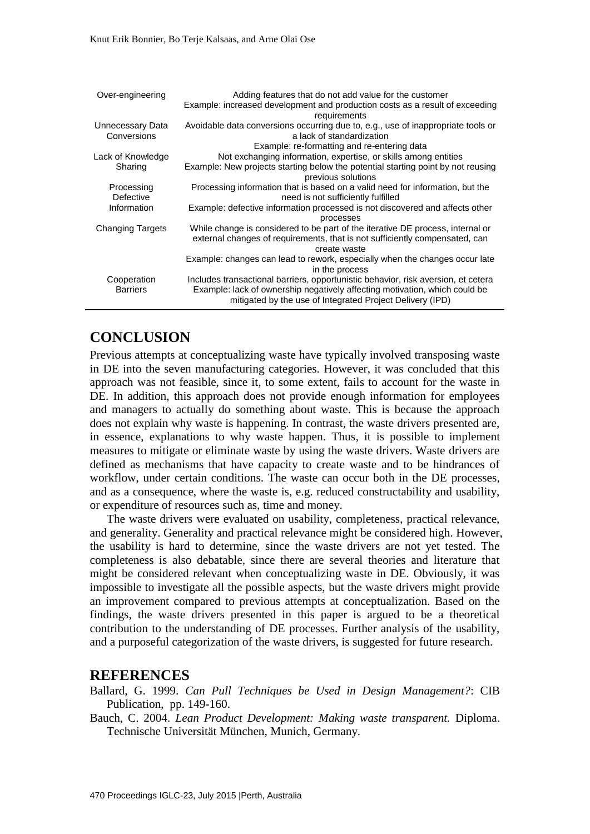| Over-engineering                | Adding features that do not add value for the customer<br>Example: increased development and production costs as a result of exceeding                                                                                       |
|---------------------------------|------------------------------------------------------------------------------------------------------------------------------------------------------------------------------------------------------------------------------|
|                                 | requirements                                                                                                                                                                                                                 |
| Unnecessary Data<br>Conversions | Avoidable data conversions occurring due to, e.g., use of inappropriate tools or<br>a lack of standardization                                                                                                                |
|                                 | Example: re-formatting and re-entering data                                                                                                                                                                                  |
| Lack of Knowledge               | Not exchanging information, expertise, or skills among entities                                                                                                                                                              |
| Sharing                         | Example: New projects starting below the potential starting point by not reusing<br>previous solutions                                                                                                                       |
| Processing<br>Defective         | Processing information that is based on a valid need for information, but the<br>need is not sufficiently fulfilled                                                                                                          |
| Information                     | Example: defective information processed is not discovered and affects other<br>processes                                                                                                                                    |
| <b>Changing Targets</b>         | While change is considered to be part of the iterative DE process, internal or<br>external changes of requirements, that is not sufficiently compensated, can<br>create waste                                                |
|                                 | Example: changes can lead to rework, especially when the changes occur late<br>in the process                                                                                                                                |
| Cooperation<br><b>Barriers</b>  | Includes transactional barriers, opportunistic behavior, risk aversion, et cetera<br>Example: lack of ownership negatively affecting motivation, which could be<br>mitigated by the use of Integrated Project Delivery (IPD) |

## **CONCLUSION**

Previous attempts at conceptualizing waste have typically involved transposing waste in DE into the seven manufacturing categories. However, it was concluded that this approach was not feasible, since it, to some extent, fails to account for the waste in DE. In addition, this approach does not provide enough information for employees and managers to actually do something about waste. This is because the approach does not explain why waste is happening. In contrast, the waste drivers presented are, in essence, explanations to why waste happen. Thus, it is possible to implement measures to mitigate or eliminate waste by using the waste drivers. Waste drivers are defined as mechanisms that have capacity to create waste and to be hindrances of workflow, under certain conditions. The waste can occur both in the DE processes, and as a consequence, where the waste is, e.g. reduced constructability and usability, or expenditure of resources such as, time and money.

The waste drivers were evaluated on usability, completeness, practical relevance, and generality. Generality and practical relevance might be considered high. However, the usability is hard to determine, since the waste drivers are not yet tested. The completeness is also debatable, since there are several theories and literature that might be considered relevant when conceptualizing waste in DE. Obviously, it was impossible to investigate all the possible aspects, but the waste drivers might provide an improvement compared to previous attempts at conceptualization. Based on the findings, the waste drivers presented in this paper is argued to be a theoretical contribution to the understanding of DE processes. Further analysis of the usability, and a purposeful categorization of the waste drivers, is suggested for future research.

#### **REFERENCES**

Ballard, G. 1999. *Can Pull Techniques be Used in Design Management?*: CIB Publication, pp. 149-160.

Bauch, C. 2004. *Lean Product Development: Making waste transparent.* Diploma. Technische Universität München, Munich, Germany.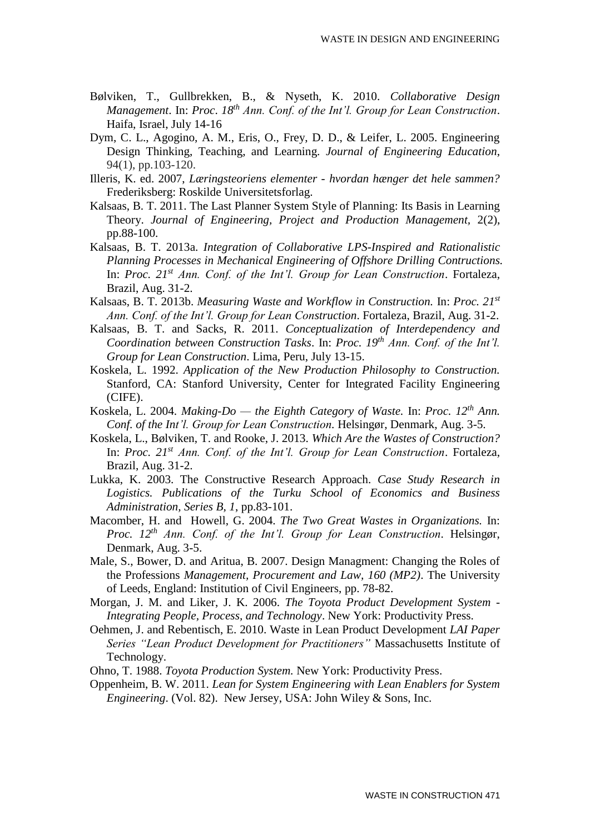- Bølviken, T., Gullbrekken, B., & Nyseth, K. 2010. *Collaborative Design Management*. In: *Proc*. *18th Ann. Conf. of the Int'l. Group for Lean Construction*. Haifa, Israel, July 14-16
- Dym, C. L., Agogino, A. M., Eris, O., Frey, D. D., & Leifer, L. 2005. Engineering Design Thinking, Teaching, and Learning. *Journal of Engineering Education*, 94(1), pp.103-120.
- Illeris, K. ed. 2007, *Læringsteoriens elementer - hvordan hænger det hele sammen?* Frederiksberg: Roskilde Universitetsforlag.
- Kalsaas, B. T. 2011. The Last Planner System Style of Planning: Its Basis in Learning Theory. *Journal of Engineering, Project and Production Management,* 2(2), pp.88-100.
- Kalsaas, B. T. 2013a. *Integration of Collaborative LPS-Inspired and Rationalistic Planning Processes in Mechanical Engineering of Offshore Drilling Contructions.* In: *Proc. 21st Ann. Conf. of the Int'l. Group for Lean Construction*. Fortaleza, Brazil, Aug. 31-2.
- Kalsaas, B. T. 2013b. *Measuring Waste and Workflow in Construction.* In: *Proc. 21st Ann. Conf. of the Int'l. Group for Lean Construction*. Fortaleza, Brazil, Aug. 31-2.
- Kalsaas, B. T. and Sacks, R. 2011. *Conceptualization of Interdependency and Coordination between Construction Tasks*. In: *Proc. 19th Ann. Conf. of the Int'l. Group for Lean Construction*. Lima, Peru, July 13-15.
- Koskela, L. 1992. *Application of the New Production Philosophy to Construction.*  Stanford, CA: Stanford University, Center for Integrated Facility Engineering (CIFE).
- Koskela, L. 2004. *Making-Do — the Eighth Category of Waste.* In: *Proc. 12th Ann. Conf. of the Int'l. Group for Lean Construction. Helsingør, Denmark, Aug. 3-5.*
- Koskela, L., Bølviken, T. and Rooke, J. 2013. *Which Are the Wastes of Construction?* In: *Proc. 21st Ann. Conf. of the Int'l. Group for Lean Construction*. Fortaleza, Brazil, Aug. 31-2.
- Lukka, K. 2003. The Constructive Research Approach. *Case Study Research in Logistics. Publications of the Turku School of Economics and Business Administration, Series B, 1*, pp.83-101.
- Macomber, H. and Howell, G. 2004. *The Two Great Wastes in Organizations.* In: *Proc. 12th Ann. Conf. of the Int'l. Group for Lean Construction.* Helsingør, Denmark, Aug. 3-5.
- Male, S., Bower, D. and Aritua, B. 2007. Design Managment: Changing the Roles of the Professions *Management, Procurement and Law, 160 (MP2)*. The University of Leeds, England: Institution of Civil Engineers, pp. 78-82.
- Morgan, J. M. and Liker, J. K. 2006. *The Toyota Product Development System - Integrating People, Process, and Technology*. New York: Productivity Press.
- Oehmen, J. and Rebentisch, E. 2010. Waste in Lean Product Development *LAI Paper Series "Lean Product Development for Practitioners"* Massachusetts Institute of Technology.
- Ohno, T. 1988. *Toyota Production System.* New York: Productivity Press.
- Oppenheim, B. W. 2011. *Lean for System Engineering with Lean Enablers for System Engineering*. (Vol. 82).New Jersey, USA: John Wiley & Sons, Inc.